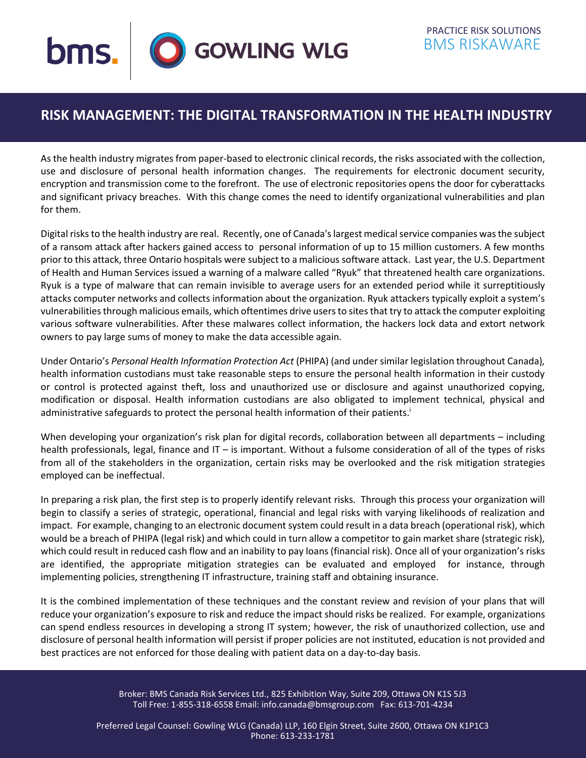

## **RISK MANAGEMENT: THE DIGITAL TRANSFORMATION IN THE HEALTH INDUSTRY**

As the health industry migrates from paper-based to electronic clinical records, the risks associated with the collection, use and disclosure of personal health information changes. The requirements for electronic document security, encryption and transmission come to the forefront. The use of electronic repositories opens the door for cyberattacks and significant privacy breaches. With this change comes the need to identify organizational vulnerabilities and plan for them.

Digital risks to the health industry are real. Recently, one of Canada's largest medical service companies was the subject of a ransom attack after hackers gained access to personal information of up to 15 million customers. A few months prior to this attack, three Ontario hospitals were subject to a malicious software attack. Last year, the U.S. Department of Health and Human Services issued a warning of a malware called "Ryuk" that threatened health care organizations. Ryuk is a type of malware that can remain invisible to average users for an extended period while it surreptitiously attacks computer networks and collects information about the organization. Ryuk attackers typically exploit a system's vulnerabilities through malicious emails, which oftentimes drive users to sites that try to attack the computer exploiting various software vulnerabilities. After these malwares collect information, the hackers lock data and extort network owners to pay large sums of money to make the data accessible again.

Under Ontario's *Personal Health Information Protection Act* (PHIPA) (and under similar legislation throughout Canada)*,* health information custodians must take reasonable steps to ensure the personal health information in their custody or control is protected against theft, loss and unauthorized use or disclosure and against unauthorized copying, modification or disposal. Health information custodians are also obligated to implement technical, physical and administrative safeguards to protect the personal health information of their patients.<sup>i</sup>

When developing your organization's risk plan for digital records, collaboration between all departments – including health professionals, legal, finance and IT – is important. Without a fulsome consideration of all of the types of risks from all of the stakeholders in the organization, certain risks may be overlooked and the risk mitigation strategies employed can be ineffectual.

In preparing a risk plan, the first step is to properly identify relevant risks. Through this process your organization will begin to classify a series of strategic, operational, financial and legal risks with varying likelihoods of realization and impact. For example, changing to an electronic document system could result in a data breach (operational risk), which would be a breach of PHIPA (legal risk) and which could in turn allow a competitor to gain market share (strategic risk), which could result in reduced cash flow and an inability to pay loans (financial risk). Once all of your organization's risks are identified, the appropriate mitigation strategies can be evaluated and employed for instance, through implementing policies, strengthening IT infrastructure, training staff and obtaining insurance.

It is the combined implementation of these techniques and the constant review and revision of your plans that will reduce your organization's exposure to risk and reduce the impact should risks be realized. For example, organizations can spend endless resources in developing a strong IT system; however, the risk of unauthorized collection, use and disclosure of personal health information will persist if proper policies are not instituted, education is not provided and best practices are not enforced for those dealing with patient data on a day-to-day basis.

> Broker: BMS Canada Risk Services Ltd., 825 Exhibition Way, Suite 209, Ottawa ON K1S 5J3 Toll Free: 1-855-318-6558 Email: info.canada@bmsgroup.com Fax: 613-701-4234